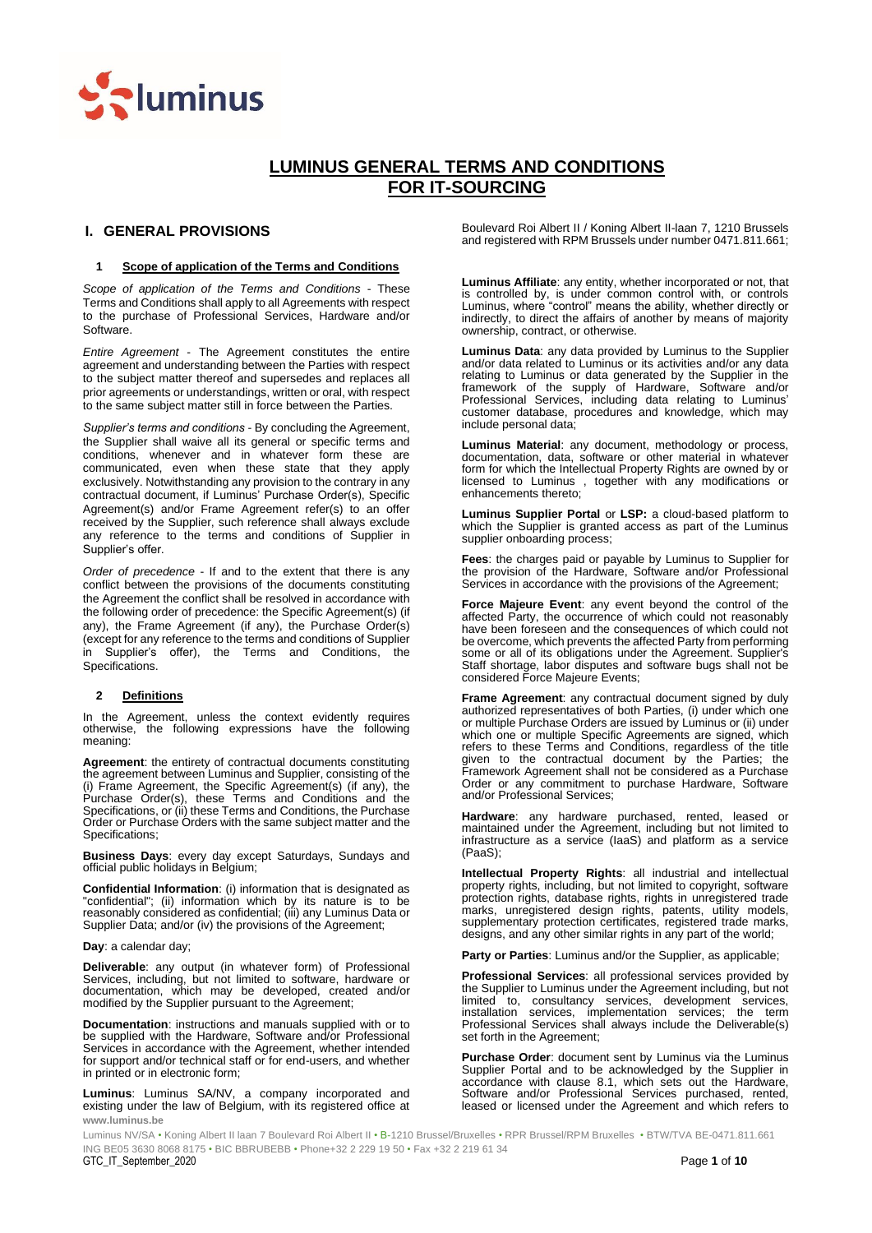

# **LUMINUS GENERAL TERMS AND CONDITIONS FOR IT-SOURCING**

# <span id="page-0-0"></span>**I. GENERAL PROVISIONS**

# **1 Scope of application of the Terms and Conditions**

*Scope of application of the Terms and Conditions* - These Terms and Conditions shall apply to all Agreements with respect to the purchase of Professional Services, Hardware and/or Software.

*Entire Agreement* - The Agreement constitutes the entire agreement and understanding between the Parties with respect to the subject matter thereof and supersedes and replaces all prior agreements or understandings, written or oral, with respect to the same subject matter still in force between the Parties.

*Supplier's terms and conditions* - By concluding the Agreement, the Supplier shall waive all its general or specific terms and conditions, whenever and in whatever form these are communicated, even when these state that they apply exclusively. Notwithstanding any provision to the contrary in any contractual document, if Luminus' Purchase Order(s), Specific Agreement(s) and/or Frame Agreement refer(s) to an offer received by the Supplier, such reference shall always exclude any reference to the terms and conditions of Supplier in Supplier's offer.

*Order of precedence* - If and to the extent that there is any conflict between the provisions of the documents constituting the Agreement the conflict shall be resolved in accordance with the following order of precedence: the Specific Agreement(s) (if any), the Frame Agreement (if any), the Purchase Order(s) (except for any reference to the terms and conditions of Supplier in Supplier's offer), the Terms and Conditions, the Specifications.

# **2 Definitions**

In the Agreement, unless the context evidently requires otherwise, the following expressions have the following meaning:

**Agreement**: the entirety of contractual documents constituting the agreement between Luminus and Supplier, consisting of the (i) Frame Agreement, the Specific Agreement(s) (if any), the Purchase Order(s), these Terms and Conditions and the Specifications, or (ii) these Terms and Conditions, the Purchase Order or Purchase Orders with the same subject matter and the Specifications;

**Business Days**: every day except Saturdays, Sundays and official public holidays in Belgium;

**Confidential Information**: (i) information that is designated as "confidential"; (ii) information which by its nature is to be reasonably considered as confidential; (iii) any Luminus Data or Supplier Data; and/or (iv) the provisions of the Agreement;

**Day**: a calendar day;

**Deliverable**: any output (in whatever form) of Professional Services, including, but not limited to software, hardware or documentation, which may be developed, created and/or modified by the Supplier pursuant to the Agreement;

**Documentation**: instructions and manuals supplied with or to be supplied with the Hardware, Software and/or Professional Services in accordance with the Agreement, whether intended for support and/or technical staff or for end-users, and whether in printed or in electronic form;

**www.luminus.be Luminus**: Luminus SA/NV, a company incorporated and existing under the law of Belgium, with its registered office at Boulevard Roi Albert II / Koning Albert II-laan 7, 1210 Brussels and registered with RPM Brussels under number 0471.811.661;

**Luminus Affiliate**: any entity, whether incorporated or not, that is controlled by, is under common control with, or controls Luminus, where "control" means the ability, whether directly or indirectly, to direct the affairs of another by means of majority ownership, contract, or otherwise.

**Luminus Data**: any data provided by Luminus to the Supplier and/or data related to Luminus or its activities and/or any data relating to Luminus or data generated by the Supplier in the framework of the supply of Hardware, Software and/or Professional Services, including data relating to Luminus' customer database, procedures and knowledge, which may include personal data;

**Luminus Material**: any document, methodology or process, documentation, data, software or other material in whatever form for which the Intellectual Property Rights are owned by or licensed to Luminus , together with any modifications or enhancements thereto;

**Luminus Supplier Portal** or **LSP:** a cloud-based platform to which the Supplier is granted access as part of the Luminus supplier onboarding process;

**Fees**: the charges paid or payable by Luminus to Supplier for the provision of the Hardware, Software and/or Professional Services in accordance with the provisions of the Agreement;

**Force Majeure Event**: any event beyond the control of the affected Party, the occurrence of which could not reasonably have been foreseen and the consequences of which could not be overcome, which prevents the affected Party from performing some or all of its obligations under the Agreement. Supplier's Staff shortage, labor disputes and software bugs shall not be considered Force Majeure Events;

**Frame Agreement**: any contractual document signed by duly authorized representatives of both Parties, (i) under which one or multiple Purchase Orders are issued by Luminus or (ii) under which one or multiple Specific Agreements are signed, which refers to these Terms and Conditions, regardless of the title given to the contractual document by the Parties; the Framework Agreement shall not be considered as a Purchase Order or any commitment to purchase Hardware, Software and/or Professional Services;

**Hardware**: any hardware purchased, rented, leased or maintained under the Agreement, including but not limited to infrastructure as a service (IaaS) and platform as a service (PaaS);

**Intellectual Property Rights**: all industrial and intellectual property rights, including, but not limited to copyright, software protection rights, database rights, rights in unregistered trade marks, unregistered design rights, patents, utility models, supplementary protection certificates, registered trade marks, designs, and any other similar rights in any part of the world;

**Party or Parties**: Luminus and/or the Supplier, as applicable;

**Professional Services**: all professional services provided by the Supplier to Luminus under the Agreement including, but not limited to, consultancy services, development services, installation services, implementation services; the term Professional Services shall always include the Deliverable(s) set forth in the Agreement;

**Purchase Order**: document sent by Luminus via the Luminus Supplier Portal and to be acknowledged by the Supplier in accordance with clause 8.1, which sets out the Hardware, Software and/or Professional Services purchased, rented, leased or licensed under the Agreement and which refers to

 ING BE05 3630 8068 8175 • BIC BBRUBEBB • Phone+32 2 229 19 50 • Fax +32 2 219 61 34 GTC\_IT\_September\_2020 Page **1** of **10** Luminus NV/SA • Koning Albert II laan 7 Boulevard Roi Albert II • B-1210 Brussel/Bruxelles • RPR Brussel/RPM Bruxelles • BTW/TVA BE-0471.811.661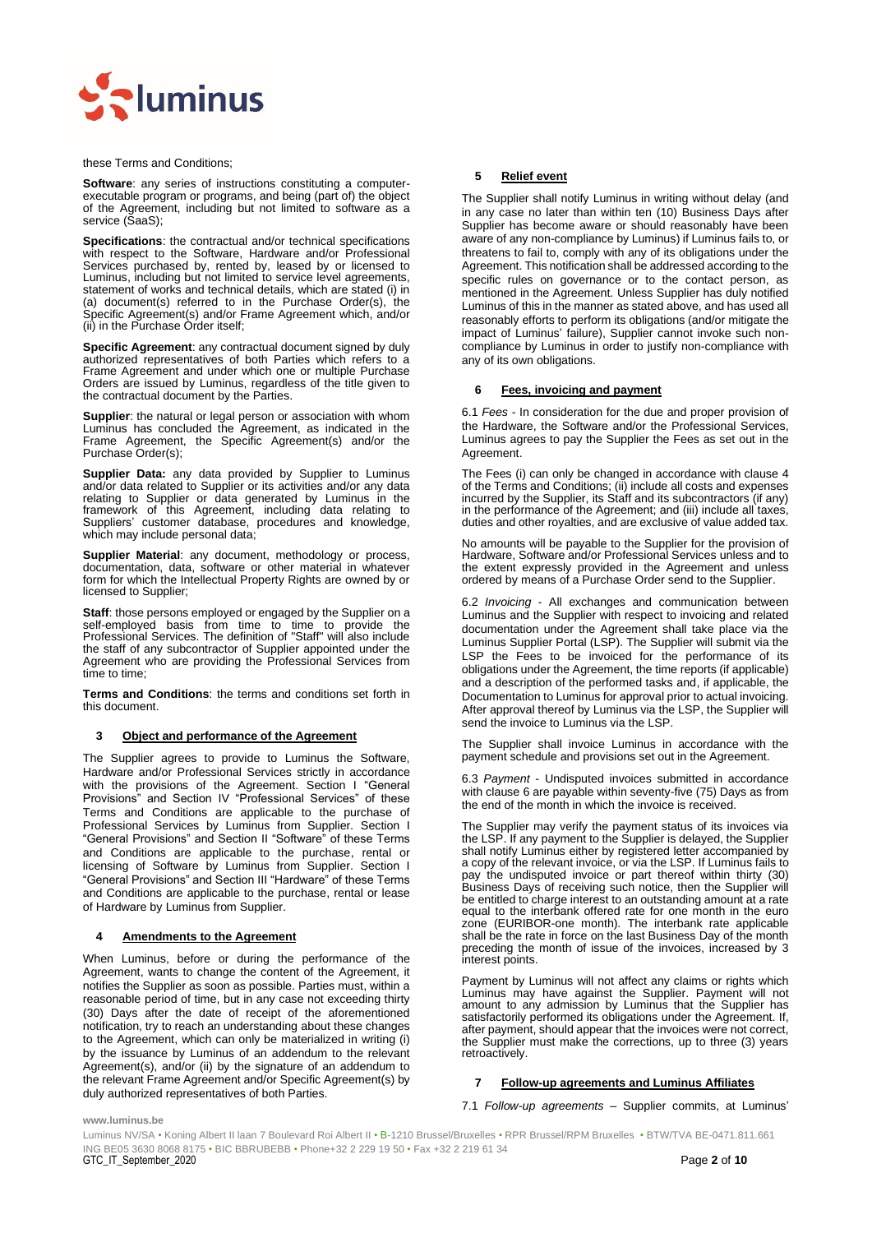

these Terms and Conditions;

**Software**: any series of instructions constituting a computerexecutable program or programs, and being (part of) the object of the Agreement, including but not limited to software as a service (SaaS);

**Specifications**: the contractual and/or technical specifications with respect to the Software, Hardware and/or Professional Services purchased by, rented by, leased by or licensed to Luminus, including but not limited to service level agreements, statement of works and technical details, which are stated (i) in (a) document(s) referred to in the Purchase Order(s), the Specific Agreement(s) and/or Frame Agreement which, and/or (ii) in the Purchase Order itself;

**Specific Agreement**: any contractual document signed by duly authorized representatives of both Parties which refers to a Frame Agreement and under which one or multiple Purchase Orders are issued by Luminus, regardless of the title given to the contractual document by the Parties.

**Supplier**: the natural or legal person or association with whom Luminus has concluded the Agreement, as indicated in the Frame Agreement, the Specific Agreement(s) and/or the Purchase Order(s);

**Supplier Data:** any data provided by Supplier to Luminus and/or data related to Supplier or its activities and/or any data relating to Supplier or data generated by Luminus in the framework of this Agreement, including data relating to Suppliers' customer database, procedures and knowledge, which may include personal data;

**Supplier Material**: any document, methodology or process, documentation, data, software or other material in whatever form for which the Intellectual Property Rights are owned by or licensed to Supplier;

**Staff**: those persons employed or engaged by the Supplier on a self-employed basis from time to time to provide the Professional Services. The definition of "Staff" will also include the staff of any subcontractor of Supplier appointed under the Agreement who are providing the Professional Services from time to time;

**Terms and Conditions**: the terms and conditions set forth in this document.

# **3 Object and performance of the Agreement**

The Supplier agrees to provide to Luminus the Software, Hardware and/or Professional Services strictly in accordance with the provisions of the Agreement. Section [I](#page-0-0) "General Provisions" and Section [IV](#page-7-0) "Professional Services" of these Terms and Conditions are applicable to the purchase of Professional Services by Luminus from Supplier. Section [I](#page-0-0) "General Provisions" and Section [II](#page-5-0) "Software" of these Terms and Conditions are applicable to the purchase, rental or licensing of Software by Luminus from Supplier. Section [I](#page-0-0) "General Provisions" and Section [III](#page-6-0) "Hardware" of these Terms and Conditions are applicable to the purchase, rental or lease of Hardware by Luminus from Supplier.

#### <span id="page-1-0"></span>**4 Amendments to the Agreement**

When Luminus, before or during the performance of the Agreement, wants to change the content of the Agreement, it notifies the Supplier as soon as possible. Parties must, within a reasonable period of time, but in any case not exceeding thirty (30) Days after the date of receipt of the aforementioned notification, try to reach an understanding about these changes to the Agreement, which can only be materialized in writing (i) by the issuance by Luminus of an addendum to the relevant Agreement(s), and/or (ii) by the signature of an addendum to the relevant Frame Agreement and/or Specific Agreement(s) by duly authorized representatives of both Parties.

#### **5 Relief event**

The Supplier shall notify Luminus in writing without delay (and in any case no later than within ten (10) Business Days after Supplier has become aware or should reasonably have been aware of any non-compliance by Luminus) if Luminus fails to, or threatens to fail to, comply with any of its obligations under the Agreement. This notification shall be addressed according to the specific rules on governance or to the contact person, as mentioned in the Agreement. Unless Supplier has duly notified Luminus of this in the manner as stated above, and has used all reasonably efforts to perform its obligations (and/or mitigate the impact of Luminus' failure), Supplier cannot invoke such noncompliance by Luminus in order to justify non-compliance with any of its own obligations.

#### <span id="page-1-1"></span>**6 Fees, invoicing and payment**

6.1 *Fees* - In consideration for the due and proper provision of the Hardware, the Software and/or the Professional Services, Luminus agrees to pay the Supplier the Fees as set out in the Agreement.

The Fees (i) can only be changed in accordance with clause [4](#page-1-0) of the Terms and Conditions; (ii) include all costs and expenses incurred by the Supplier, its Staff and its subcontractors (if any) in the performance of the Agreement; and (iii) include all taxes, duties and other royalties, and are exclusive of value added tax.

No amounts will be payable to the Supplier for the provision of Hardware, Software and/or Professional Services unless and to the extent expressly provided in the Agreement and unless ordered by means of a Purchase Order send to the Supplier.

6.2 *Invoicing* - All exchanges and communication between Luminus and the Supplier with respect to invoicing and related documentation under the Agreement shall take place via the Luminus Supplier Portal (LSP). The Supplier will submit via the LSP the Fees to be invoiced for the performance of its obligations under the Agreement, the time reports (if applicable) and a description of the performed tasks and, if applicable, the Documentation to Luminus for approval prior to actual invoicing. After approval thereof by Luminus via the LSP, the Supplier will send the invoice to Luminus via the LSP.

The Supplier shall invoice Luminus in accordance with the payment schedule and provisions set out in the Agreement.

6.3 *Payment* - Undisputed invoices submitted in accordance with clause [6](#page-1-1) are payable within seventy-five (75) Days as from the end of the month in which the invoice is received.

The Supplier may verify the payment status of its invoices via the LSP. If any payment to the Supplier is delayed, the Supplier shall notify Luminus either by registered letter accompanied by a copy of the relevant invoice, or via the LSP. If Luminus fails to pay the undisputed invoice or part thereof within thirty (30) Business Days of receiving such notice, then the Supplier will be entitled to charge interest to an outstanding amount at a rate equal to the interbank offered rate for one month in the euro zone (EURIBOR-one month). The interbank rate applicable shall be the rate in force on the last Business Day of the month preceding the month of issue of the invoices, increased by 3 interest points.

Payment by Luminus will not affect any claims or rights which Luminus may have against the Supplier. Payment will not amount to any admission by Luminus that the Supplier has satisfactorily performed its obligations under the Agreement. If, after payment, should appear that the invoices were not correct, the Supplier must make the corrections, up to three (3) years retroactively.

# **7 Follow-up agreements and Luminus Affiliates**

#### 7.1 *Follow-up agreements* – Supplier commits, at Luminus'

**www.luminus.be**

 ING BE05 3630 8068 8175 • BIC BBRUBEBB • Phone+32 2 229 19 50 • Fax +32 2 219 61 34 GTC\_IT\_September\_2020 Page **2** of **10** Luminus NV/SA • Koning Albert II laan 7 Boulevard Roi Albert II • B-1210 Brussel/Bruxelles • RPR Brussel/RPM Bruxelles • BTW/TVA BE-0471.811.661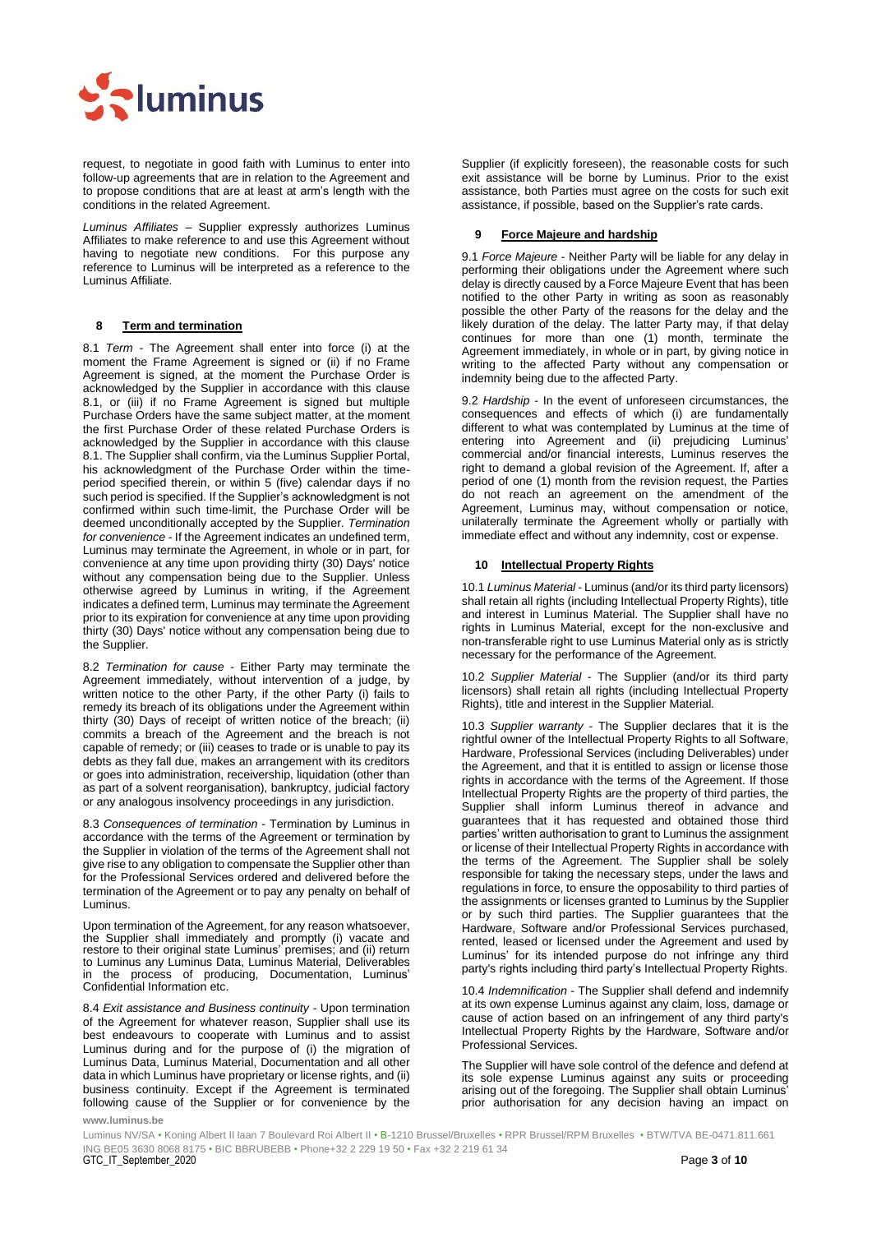

request, to negotiate in good faith with Luminus to enter into follow-up agreements that are in relation to the Agreement and to propose conditions that are at least at arm's length with the conditions in the related Agreement.

*Luminus Affiliates* – Supplier expressly authorizes Luminus Affiliates to make reference to and use this Agreement without having to negotiate new conditions. For this purpose any reference to Luminus will be interpreted as a reference to the Luminus Affiliate.

# **8 Term and termination**

8.1 *Term* - The Agreement shall enter into force (i) at the moment the Frame Agreement is signed or (ii) if no Frame Agreement is signed, at the moment the Purchase Order is acknowledged by the Supplier in accordance with this clause 8.1, or (iii) if no Frame Agreement is signed but multiple Purchase Orders have the same subject matter, at the moment the first Purchase Order of these related Purchase Orders is acknowledged by the Supplier in accordance with this clause 8.1. The Supplier shall confirm, via the Luminus Supplier Portal, his acknowledgment of the Purchase Order within the timeperiod specified therein, or within 5 (five) calendar days if no such period is specified. If the Supplier's acknowledgment is not confirmed within such time-limit, the Purchase Order will be deemed unconditionally accepted by the Supplier. *Termination for convenience* - If the Agreement indicates an undefined term, Luminus may terminate the Agreement, in whole or in part, for convenience at any time upon providing thirty (30) Days' notice without any compensation being due to the Supplier. Unless otherwise agreed by Luminus in writing, if the Agreement indicates a defined term, Luminus may terminate the Agreement prior to its expiration for convenience at any time upon providing thirty (30) Days' notice without any compensation being due to the Supplier.

8.2 *Termination for cause* - Either Party may terminate the Agreement immediately, without intervention of a judge, by written notice to the other Party, if the other Party (i) fails to remedy its breach of its obligations under the Agreement within thirty (30) Days of receipt of written notice of the breach; (ii) commits a breach of the Agreement and the breach is not capable of remedy; or (iii) ceases to trade or is unable to pay its debts as they fall due, makes an arrangement with its creditors or goes into administration, receivership, liquidation (other than as part of a solvent reorganisation), bankruptcy, judicial factory or any analogous insolvency proceedings in any jurisdiction.

8.3 *Consequences of termination* - Termination by Luminus in accordance with the terms of the Agreement or termination by the Supplier in violation of the terms of the Agreement shall not give rise to any obligation to compensate the Supplier other than for the Professional Services ordered and delivered before the termination of the Agreement or to pay any penalty on behalf of Luminus.

Upon termination of the Agreement, for any reason whatsoever, the Supplier shall immediately and promptly (i) vacate and restore to their original state Luminus' premises; and (ii) return to Luminus any Luminus Data, Luminus Material, Deliverables in the process of producing, Documentation, Luminus' Confidential Information etc.

8.4 *Exit assistance and Business continuity* - Upon termination of the Agreement for whatever reason, Supplier shall use its best endeavours to cooperate with Luminus and to assist Luminus during and for the purpose of (i) the migration of Luminus Data, Luminus Material, Documentation and all other data in which Luminus have proprietary or license rights, and (ii) business continuity. Except if the Agreement is terminated following cause of the Supplier or for convenience by the Supplier (if explicitly foreseen), the reasonable costs for such exit assistance will be borne by Luminus. Prior to the exist assistance, both Parties must agree on the costs for such exit assistance, if possible, based on the Supplier's rate cards.

#### **9 Force Majeure and hardship**

9.1 *Force Majeure* - Neither Party will be liable for any delay in performing their obligations under the Agreement where such delay is directly caused by a Force Majeure Event that has been notified to the other Party in writing as soon as reasonably possible the other Party of the reasons for the delay and the likely duration of the delay. The latter Party may, if that delay continues for more than one (1) month, terminate the Agreement immediately, in whole or in part, by giving notice in writing to the affected Party without any compensation or indemnity being due to the affected Party.

9.2 *Hardship* - In the event of unforeseen circumstances, the consequences and effects of which (i) are fundamentally different to what was contemplated by Luminus at the time of entering into Agreement and (ii) prejudicing Luminus' commercial and/or financial interests, Luminus reserves the right to demand a global revision of the Agreement. If, after a period of one (1) month from the revision request, the Parties do not reach an agreement on the amendment of the Agreement, Luminus may, without compensation or notice, unilaterally terminate the Agreement wholly or partially with immediate effect and without any indemnity, cost or expense.

#### <span id="page-2-0"></span>**10 Intellectual Property Rights**

10.1 *Luminus Material* - Luminus (and/or its third party licensors) shall retain all rights (including Intellectual Property Rights), title and interest in Luminus Material. The Supplier shall have no rights in Luminus Material, except for the non-exclusive and non-transferable right to use Luminus Material only as is strictly necessary for the performance of the Agreement.

10.2 *Supplier Material* - The Supplier (and/or its third party licensors) shall retain all rights (including Intellectual Property Rights), title and interest in the Supplier Material.

10.3 *Supplier warranty* - The Supplier declares that it is the rightful owner of the Intellectual Property Rights to all Software, Hardware, Professional Services (including Deliverables) under the Agreement, and that it is entitled to assign or license those rights in accordance with the terms of the Agreement. If those Intellectual Property Rights are the property of third parties, the Supplier shall inform Luminus thereof in advance and guarantees that it has requested and obtained those third parties' written authorisation to grant to Luminus the assignment or license of their Intellectual Property Rights in accordance with the terms of the Agreement. The Supplier shall be solely responsible for taking the necessary steps, under the laws and regulations in force, to ensure the opposability to third parties of the assignments or licenses granted to Luminus by the Supplier or by such third parties. The Supplier guarantees that the Hardware, Software and/or Professional Services purchased, rented, leased or licensed under the Agreement and used by Luminus' for its intended purpose do not infringe any third party's rights including third party's Intellectual Property Rights.

10.4 *Indemnification* - The Supplier shall defend and indemnify at its own expense Luminus against any claim, loss, damage or cause of action based on an infringement of any third party's Intellectual Property Rights by the Hardware, Software and/or Professional Services.

The Supplier will have sole control of the defence and defend at its sole expense Luminus against any suits or proceeding arising out of the foregoing. The Supplier shall obtain Luminus' prior authorisation for any decision having an impact on

**www.luminus.be**

 ING BE05 3630 8068 8175 • BIC BBRUBEBB • Phone+32 2 229 19 50 • Fax +32 2 219 61 34 GTC\_IT\_September\_2020 Page **3** of **10** Luminus NV/SA • Koning Albert II laan 7 Boulevard Roi Albert II • B-1210 Brussel/Bruxelles • RPR Brussel/RPM Bruxelles • BTW/TVA BE-0471.811.661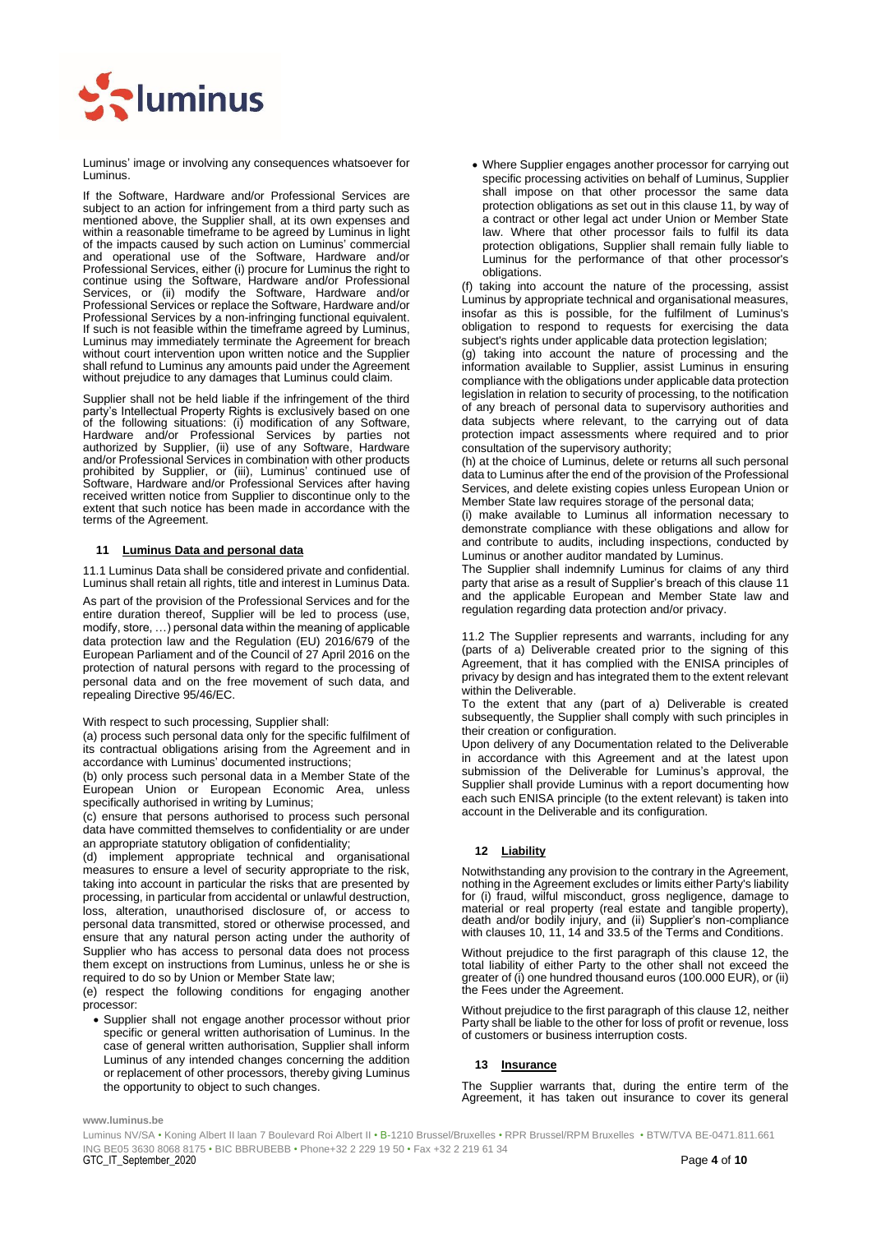

Luminus' image or involving any consequences whatsoever for Luminus.

If the Software, Hardware and/or Professional Services are subject to an action for infringement from a third party such as mentioned above, the Supplier shall, at its own expenses and within a reasonable timeframe to be agreed by Luminus in light of the impacts caused by such action on Luminus' commercial and operational use of the Software, Hardware and/or Professional Services, either (i) procure for Luminus the right to continue using the Software, Hardware and/or Professional Services, or (ii) modify the Software, Hardware and/or Professional Services or replace the Software, Hardware and/or Professional Services by a non-infringing functional equivalent. If such is not feasible within the timeframe agreed by Luminus, Luminus may immediately terminate the Agreement for breach without court intervention upon written notice and the Supplier shall refund to Luminus any amounts paid under the Agreement without prejudice to any damages that Luminus could claim.

Supplier shall not be held liable if the infringement of the third party's Intellectual Property Rights is exclusively based on one of the following situations: (i) modification of any Software, Hardware and/or Professional Services by parties not authorized by Supplier, (ii) use of any Software, Hardware and/or Professional Services in combination with other products prohibited by Supplier, or (iii), Luminus' continued use of Software, Hardware and/or Professional Services after having received written notice from Supplier to discontinue only to the extent that such notice has been made in accordance with the terms of the Agreement.

# <span id="page-3-0"></span>**11 Luminus Data and personal data**

11.1 Luminus Data shall be considered private and confidential. Luminus shall retain all rights, title and interest in Luminus Data.

As part of the provision of the Professional Services and for the entire duration thereof, Supplier will be led to process (use, modify, store, …) personal data within the meaning of applicable data protection law and the Regulation (EU) 2016/679 of the European Parliament and of the Council of 27 April 2016 on the protection of natural persons with regard to the processing of personal data and on the free movement of such data, and repealing Directive 95/46/EC.

#### With respect to such processing, Supplier shall:

(a) process such personal data only for the specific fulfilment of its contractual obligations arising from the Agreement and in accordance with Luminus' documented instructions;

(b) only process such personal data in a Member State of the European Union or European Economic Area, unless specifically authorised in writing by Luminus;

(c) ensure that persons authorised to process such personal data have committed themselves to confidentiality or are under an appropriate statutory obligation of confidentiality;

(d) implement appropriate technical and organisational measures to ensure a level of security appropriate to the risk, taking into account in particular the risks that are presented by processing, in particular from accidental or unlawful destruction, loss, alteration, unauthorised disclosure of, or access to personal data transmitted, stored or otherwise processed, and ensure that any natural person acting under the authority of Supplier who has access to personal data does not process them except on instructions from Luminus, unless he or she is required to do so by Union or Member State law;

(e) respect the following conditions for engaging another processor:

• Supplier shall not engage another processor without prior specific or general written authorisation of Luminus. In the case of general written authorisation, Supplier shall inform Luminus of any intended changes concerning the addition or replacement of other processors, thereby giving Luminus the opportunity to object to such changes.

• Where Supplier engages another processor for carrying out specific processing activities on behalf of Luminus, Supplier shall impose on that other processor the same data protection obligations as set out in this clause 11, by way of a contract or other legal act under Union or Member State law. Where that other processor fails to fulfil its data protection obligations, Supplier shall remain fully liable to Luminus for the performance of that other processor's obligations.

(f) taking into account the nature of the processing, assist Luminus by appropriate technical and organisational measures, insofar as this is possible, for the fulfilment of Luminus's obligation to respond to requests for exercising the data subject's rights under applicable data protection legislation;

(g) taking into account the nature of processing and the information available to Supplier, assist Luminus in ensuring compliance with the obligations under applicable data protection legislation in relation to security of processing, to the notification of any breach of personal data to supervisory authorities and data subjects where relevant, to the carrying out of data protection impact assessments where required and to prior consultation of the supervisory authority;

(h) at the choice of Luminus, delete or returns all such personal data to Luminus after the end of the provision of the Professional Services, and delete existing copies unless European Union or Member State law requires storage of the personal data;

(i) make available to Luminus all information necessary to demonstrate compliance with these obligations and allow for and contribute to audits, including inspections, conducted by Luminus or another auditor mandated by Luminus.

The Supplier shall indemnify Luminus for claims of any third party that arise as a result of Supplier's breach of this clause [11](#page-3-0) and the applicable European and Member State law and regulation regarding data protection and/or privacy.

11.2 The Supplier represents and warrants, including for any (parts of a) Deliverable created prior to the signing of this Agreement, that it has complied with the ENISA principles of privacy by design and has integrated them to the extent relevant within the Deliverable.

To the extent that any (part of a) Deliverable is created subsequently, the Supplier shall comply with such principles in their creation or configuration.

Upon delivery of any Documentation related to the Deliverable in accordance with this Agreement and at the latest upon submission of the Deliverable for Luminus's approval, the Supplier shall provide Luminus with a report documenting how each such ENISA principle (to the extent relevant) is taken into account in the Deliverable and its configuration.

# <span id="page-3-1"></span>**12 Liability**

Notwithstanding any provision to the contrary in the Agreement, nothing in the Agreement excludes or limits either Party's liability for (i) fraud, wilful misconduct, gross negligence, damage to material or real property (real estate and tangible property), death and/or bodily injury, and (ii) Supplier's non-compliance with clauses 10[, 11,](#page-3-0) [14](#page-4-0) and 33.5 of the Terms and Conditions.

Without prejudice to the first paragraph of this clause [12,](#page-3-1) the total liability of either Party to the other shall not exceed the greater of (i) one hundred thousand euros (100.000 EUR), or (ii) the Fees under the Agreement.

Without prejudice to the first paragraph of this clause [12,](#page-3-1) neither Party shall be liable to the other for loss of profit or revenue, loss of customers or business interruption costs.

# **13 Insurance**

The Supplier warrants that, during the entire term of the Agreement, it has taken out insurance to cover its general

**www.luminus.be**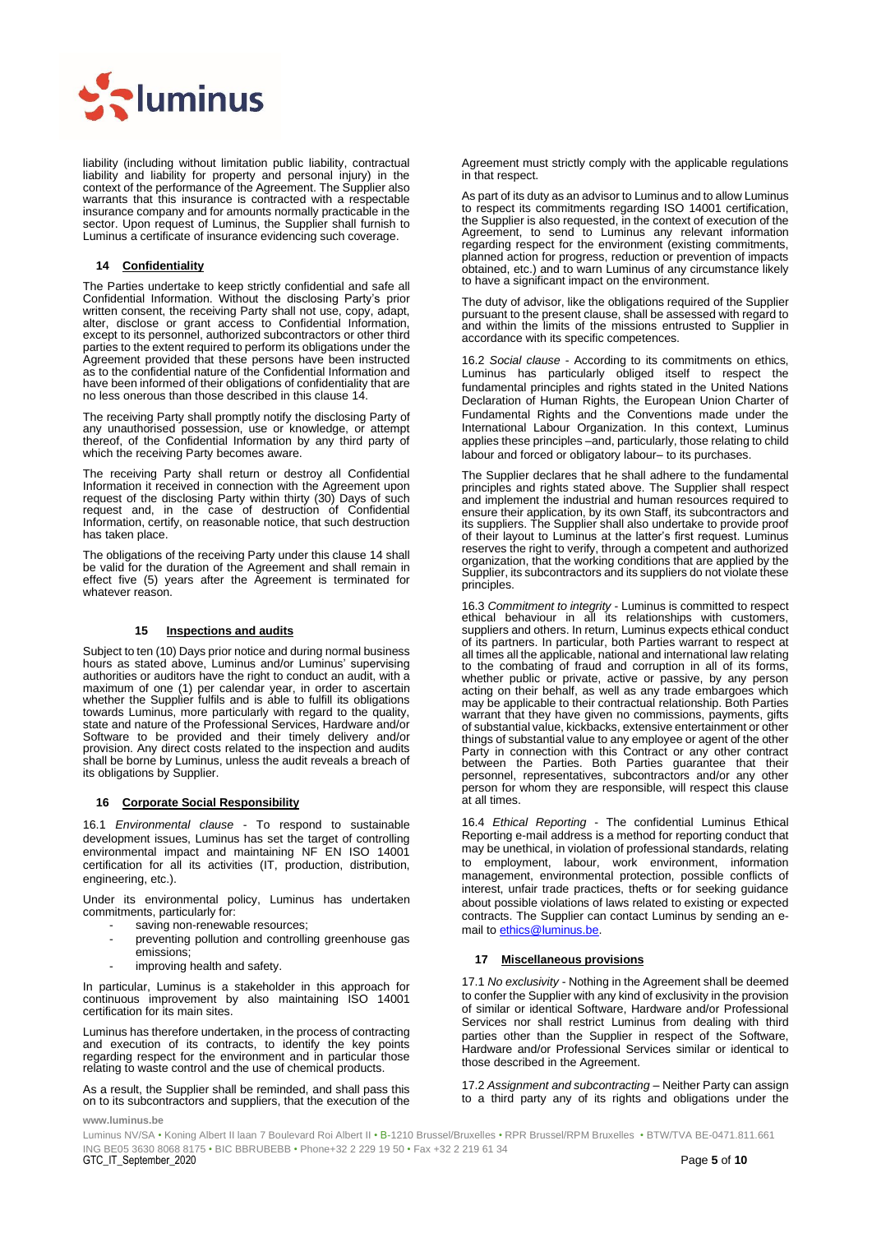

liability (including without limitation public liability, contractual liability and liability for property and personal injury) in the context of the performance of the Agreement. The Supplier also warrants that this insurance is contracted with a respectable insurance company and for amounts normally practicable in the sector. Upon request of Luminus, the Supplier shall furnish to Luminus a certificate of insurance evidencing such coverage.

#### <span id="page-4-0"></span>**14 Confidentiality**

The Parties undertake to keep strictly confidential and safe all Confidential Information. Without the disclosing Party's prior written consent, the receiving Party shall not use, copy, adapt, alter, disclose or grant access to Confidential Information, except to its personnel, authorized subcontractors or other third parties to the extent required to perform its obligations under the Agreement provided that these persons have been instructed as to the confidential nature of the Confidential Information and have been informed of their obligations of confidentiality that are no less onerous than those described in this clause [14.](#page-4-0) 

The receiving Party shall promptly notify the disclosing Party of any unauthorised possession, use or knowledge, or attempt thereof, of the Confidential Information by any third party of which the receiving Party becomes aware.

The receiving Party shall return or destroy all Confidential Information it received in connection with the Agreement upon request of the disclosing Party within thirty (30) Days of such request and, in the case of destruction of Confidential Information, certify, on reasonable notice, that such destruction has taken place.

The obligations of the receiving Party under this claus[e 14](#page-4-0) shall be valid for the duration of the Agreement and shall remain in effect five (5) years after the Agreement is terminated for whatever reason.

#### **15 Inspections and audits**

Subject to ten (10) Days prior notice and during normal business hours as stated above, Luminus and/or Luminus' supervising authorities or auditors have the right to conduct an audit, with a maximum of one (1) per calendar year, in order to ascertain whether the Supplier fulfils and is able to fulfill its obligations towards Luminus, more particularly with regard to the quality, state and nature of the Professional Services, Hardware and/or Software to be provided and their timely delivery and/or provision. Any direct costs related to the inspection and audits shall be borne by Luminus, unless the audit reveals a breach of its obligations by Supplier.

#### **16 Corporate Social Responsibility**

16.1 *Environmental clause* - To respond to sustainable development issues, Luminus has set the target of controlling environmental impact and maintaining NF EN ISO 14001 certification for all its activities (IT, production, distribution, engineering, etc.).

Under its environmental policy, Luminus has undertaken commitments, particularly for:

- saving non-renewable resources;
- preventing pollution and controlling greenhouse gas emissions;
- improving health and safety.

In particular, Luminus is a stakeholder in this approach for continuous improvement by also maintaining ISO 14001 certification for its main sites.

Luminus has therefore undertaken, in the process of contracting and execution of its contracts, to identify the key points regarding respect for the environment and in particular those relating to waste control and the use of chemical products.

As a result, the Supplier shall be reminded, and shall pass this on to its subcontractors and suppliers, that the execution of the

Agreement must strictly comply with the applicable regulations in that respect.

As part of its duty as an advisor to Luminus and to allow Luminus to respect its commitments regarding ISO 14001 certification, the Supplier is also requested, in the context of execution of the Agreement, to send to Luminus any relevant information regarding respect for the environment (existing commitments, planned action for progress, reduction or prevention of impacts obtained, etc.) and to warn Luminus of any circumstance likely to have a significant impact on the environment.

The duty of advisor, like the obligations required of the Supplier pursuant to the present clause, shall be assessed with regard to and within the limits of the missions entrusted to Supplier in accordance with its specific competences.

16.2 *Social clause* - According to its commitments on ethics, Luminus has particularly obliged itself to respect the fundamental principles and rights stated in the United Nations Declaration of Human Rights, the European Union Charter of Fundamental Rights and the Conventions made under the International Labour Organization. In this context, Luminus applies these principles –and, particularly, those relating to child labour and forced or obligatory labour– to its purchases.

The Supplier declares that he shall adhere to the fundamental principles and rights stated above. The Supplier shall respect and implement the industrial and human resources required to ensure their application, by its own Staff, its subcontractors and its suppliers. The Supplier shall also undertake to provide proof of their layout to Luminus at the latter's first request. Luminus reserves the right to verify, through a competent and authorized organization, that the working conditions that are applied by the Supplier, its subcontractors and its suppliers do not violate these principles.

16.3 *Commitment to integrity* - Luminus is committed to respect ethical behaviour in all its relationships with customers, suppliers and others. In return, Luminus expects ethical conduct of its partners. In particular, both Parties warrant to respect at all times all the applicable, national and international law relating to the combating of fraud and corruption in all of its forms, whether public or private, active or passive, by any person acting on their behalf, as well as any trade embargoes which may be applicable to their contractual relationship. Both Parties warrant that they have given no commissions, payments, gifts of substantial value, kickbacks, extensive entertainment or other things of substantial value to any employee or agent of the other Party in connection with this Contract or any other contract between the Parties. Both Parties guarantee that their personnel, representatives, subcontractors and/or any other person for whom they are responsible, will respect this clause at all times.

16.4 *Ethical Reporting* - The confidential Luminus Ethical Reporting e-mail address is a method for reporting conduct that may be unethical, in violation of professional standards, relating to employment, labour, work environment, information management, environmental protection, possible conflicts of interest, unfair trade practices, thefts or for seeking guidance about possible violations of laws related to existing or expected contracts. The Supplier can contact Luminus by sending an email t[o ethics@luminus.be.](mailto:ethics@edfluminus.be)

#### **17 Miscellaneous provisions**

17.1 *No exclusivity* - Nothing in the Agreement shall be deemed to confer the Supplier with any kind of exclusivity in the provision of similar or identical Software, Hardware and/or Professional Services nor shall restrict Luminus from dealing with third parties other than the Supplier in respect of the Software, Hardware and/or Professional Services similar or identical to those described in the Agreement.

17.2 *Assignment and subcontracting* – Neither Party can assign to a third party any of its rights and obligations under the

**www.luminus.be**

 ING BE05 3630 8068 8175 • BIC BBRUBEBB • Phone+32 2 229 19 50 • Fax +32 2 219 61 34 GTC\_IT\_September\_2020 Page **5** of **10** Luminus NV/SA • Koning Albert II laan 7 Boulevard Roi Albert II • B-1210 Brussel/Bruxelles • RPR Brussel/RPM Bruxelles • BTW/TVA BE-0471.811.661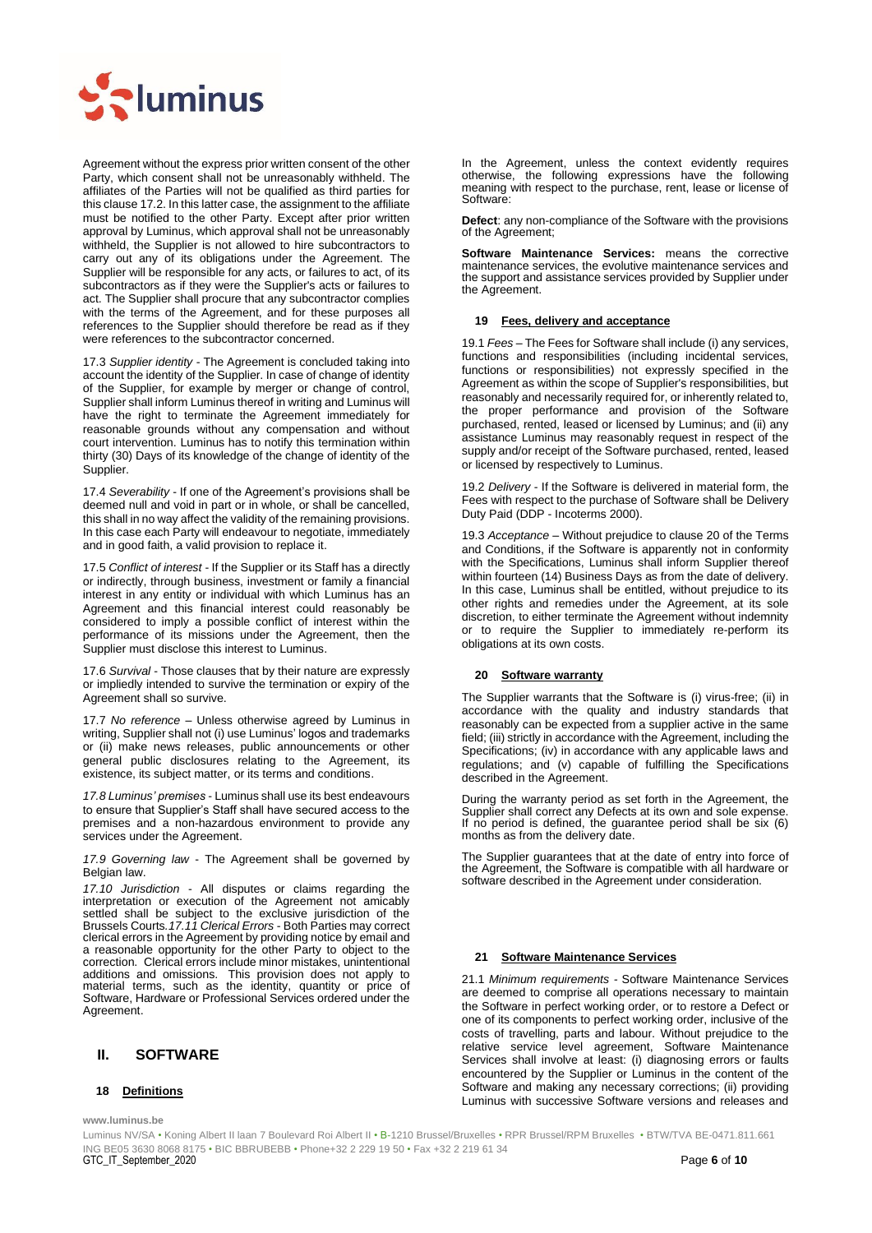

Agreement without the express prior written consent of the other Party, which consent shall not be unreasonably withheld. The affiliates of the Parties will not be qualified as third parties for this clause 17.2. In this latter case, the assignment to the affiliate must be notified to the other Party. Except after prior written approval by Luminus, which approval shall not be unreasonably withheld, the Supplier is not allowed to hire subcontractors to carry out any of its obligations under the Agreement. The Supplier will be responsible for any acts, or failures to act, of its subcontractors as if they were the Supplier's acts or failures to act. The Supplier shall procure that any subcontractor complies with the terms of the Agreement, and for these purposes all references to the Supplier should therefore be read as if they were references to the subcontractor concerned.

17.3 *Supplier identity* - The Agreement is concluded taking into account the identity of the Supplier. In case of change of identity of the Supplier, for example by merger or change of control, Supplier shall inform Luminus thereof in writing and Luminus will have the right to terminate the Agreement immediately for reasonable grounds without any compensation and without court intervention. Luminus has to notify this termination within thirty (30) Days of its knowledge of the change of identity of the Supplier.

17.4 *Severability* - If one of the Agreement's provisions shall be deemed null and void in part or in whole, or shall be cancelled, this shall in no way affect the validity of the remaining provisions. In this case each Party will endeavour to negotiate, immediately and in good faith, a valid provision to replace it.

17.5 *Conflict of interest* - If the Supplier or its Staff has a directly or indirectly, through business, investment or family a financial interest in any entity or individual with which Luminus has an Agreement and this financial interest could reasonably be considered to imply a possible conflict of interest within the performance of its missions under the Agreement, then the Supplier must disclose this interest to Luminus.

17.6 *Survival* - Those clauses that by their nature are expressly or impliedly intended to survive the termination or expiry of the Agreement shall so survive.

17.7 *No reference* – Unless otherwise agreed by Luminus in writing, Supplier shall not (i) use Luminus' logos and trademarks or (ii) make news releases, public announcements or other general public disclosures relating to the Agreement, its existence, its subject matter, or its terms and conditions.

*17.8 Luminus' premises* - Luminus shall use its best endeavours to ensure that Supplier's Staff shall have secured access to the premises and a non-hazardous environment to provide any services under the Agreement.

*17.9 Governing law* - The Agreement shall be governed by Belgian law.

*17.10 Jurisdiction* - All disputes or claims regarding the interpretation or execution of the Agreement not amicably settled shall be subject to the exclusive jurisdiction of the Brussels Courts*.17.11 Clerical Errors* - Both Parties may correct clerical errors in the Agreement by providing notice by email and a reasonable opportunity for the other Party to object to the correction. Clerical errors include minor mistakes, unintentional additions and omissions. This provision does not apply to material terms, such as the identity, quantity or price of Software, Hardware or Professional Services ordered under the Agreement.

# <span id="page-5-0"></span>**II. SOFTWARE**

# **18 Definitions**

**www.luminus.be**

In the Agreement, unless the context evidently requires otherwise, the following expressions have the following meaning with respect to the purchase, rent, lease or license of Software:

**Defect**: any non-compliance of the Software with the provisions of the Agreement;

**Software Maintenance Services:** means the corrective maintenance services, the evolutive maintenance services and the support and assistance services provided by Supplier under the Agreement.

#### **19 Fees, delivery and acceptance**

19.1 *Fees* – The Fees for Software shall include (i) any services, functions and responsibilities (including incidental services, functions or responsibilities) not expressly specified in the Agreement as within the scope of Supplier's responsibilities, but reasonably and necessarily required for, or inherently related to, the proper performance and provision of the Software purchased, rented, leased or licensed by Luminus; and (ii) any assistance Luminus may reasonably request in respect of the supply and/or receipt of the Software purchased, rented, leased or licensed by respectively to Luminus.

19.2 *Delivery* - If the Software is delivered in material form, the Fees with respect to the purchase of Software shall be Delivery Duty Paid (DDP - Incoterms 2000).

19.3 *Acceptance* – Without prejudice to claus[e 20](#page-5-1) of the Terms and Conditions, if the Software is apparently not in conformity with the Specifications, Luminus shall inform Supplier thereof within fourteen (14) Business Days as from the date of delivery. In this case, Luminus shall be entitled, without prejudice to its other rights and remedies under the Agreement, at its sole discretion, to either terminate the Agreement without indemnity or to require the Supplier to immediately re-perform its obligations at its own costs.

# <span id="page-5-1"></span>**20 Software warranty**

The Supplier warrants that the Software is (i) virus-free; (ii) in accordance with the quality and industry standards that reasonably can be expected from a supplier active in the same field; (iii) strictly in accordance with the Agreement, including the Specifications; (iv) in accordance with any applicable laws and regulations; and (v) capable of fulfilling the Specifications described in the Agreement.

During the warranty period as set forth in the Agreement, the Supplier shall correct any Defects at its own and sole expense. If no period is defined, the guarantee period shall be six (6) months as from the delivery date.

The Supplier guarantees that at the date of entry into force of the Agreement, the Software is compatible with all hardware or software described in the Agreement under consideration.

#### **21 Software Maintenance Services**

21.1 *Minimum requirements -* Software Maintenance Services are deemed to comprise all operations necessary to maintain the Software in perfect working order, or to restore a Defect or one of its components to perfect working order, inclusive of the costs of travelling, parts and labour. Without prejudice to the relative service level agreement, Software Maintenance Services shall involve at least: (i) diagnosing errors or faults encountered by the Supplier or Luminus in the content of the Software and making any necessary corrections; (ii) providing Luminus with successive Software versions and releases and

 ING BE05 3630 8068 8175 • BIC BBRUBEBB • Phone+32 2 229 19 50 • Fax +32 2 219 61 34 GTC\_IT\_September\_2020 Page **6** of **10** Luminus NV/SA • Koning Albert II laan 7 Boulevard Roi Albert II • B-1210 Brussel/Bruxelles • RPR Brussel/RPM Bruxelles • BTW/TVA BE-0471.811.661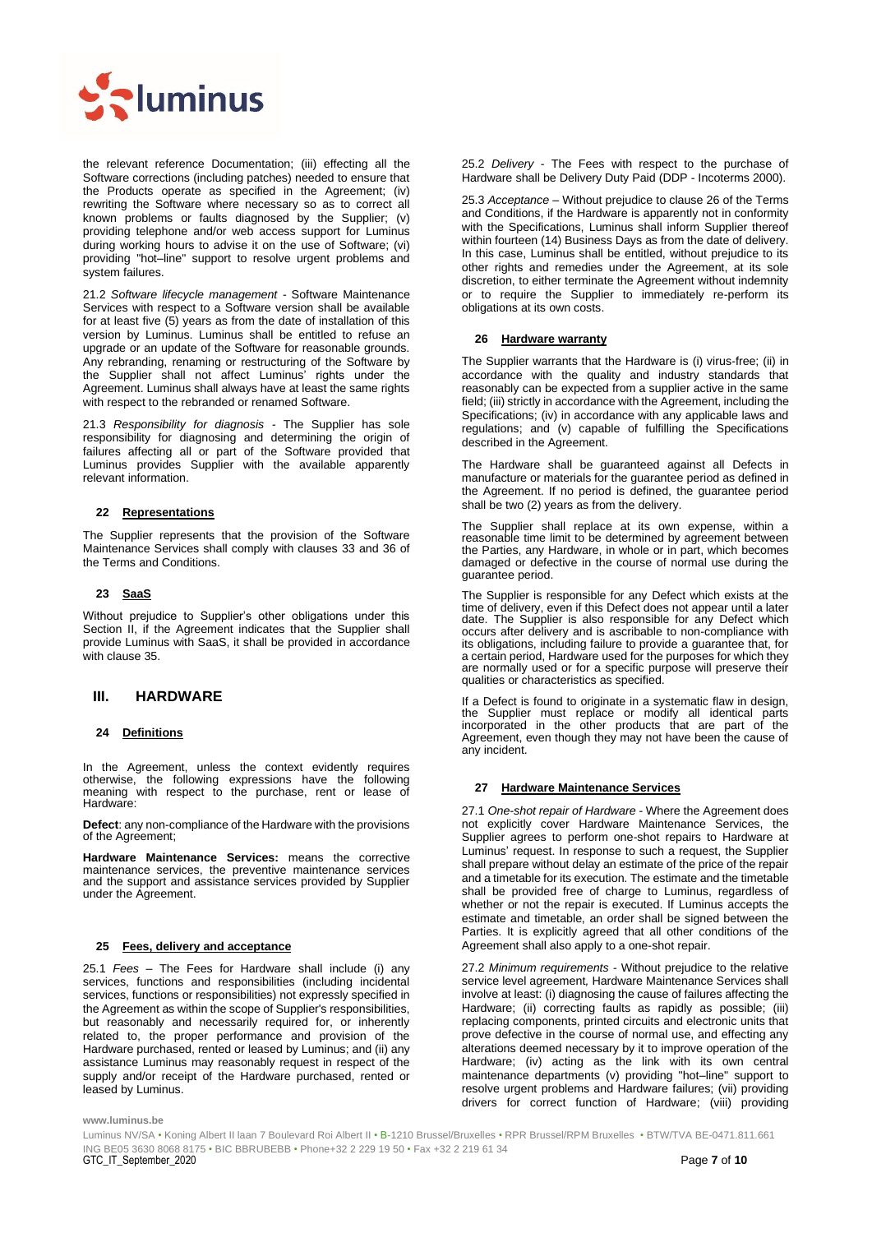

the relevant reference Documentation; (iii) effecting all the Software corrections (including patches) needed to ensure that the Products operate as specified in the Agreement; (iv) rewriting the Software where necessary so as to correct all known problems or faults diagnosed by the Supplier; (v) providing telephone and/or web access support for Luminus during working hours to advise it on the use of Software; (vi) providing "hot–line" support to resolve urgent problems and system failures.

21.2 *Software lifecycle management* - Software Maintenance Services with respect to a Software version shall be available for at least five (5) years as from the date of installation of this version by Luminus. Luminus shall be entitled to refuse an upgrade or an update of the Software for reasonable grounds. Any rebranding, renaming or restructuring of the Software by the Supplier shall not affect Luminus' rights under the Agreement. Luminus shall always have at least the same rights with respect to the rebranded or renamed Software.

21.3 *Responsibility for diagnosis -* The Supplier has sole responsibility for diagnosing and determining the origin of failures affecting all or part of the Software provided that Luminus provides Supplier with the available apparently relevant information.

# **22 Representations**

The Supplier represents that the provision of the Software Maintenance Services shall comply with clauses [33](#page-7-1) and 36 of the Terms and Conditions.

# **23 SaaS**

Without prejudice to Supplier's other obligations under this Section [II,](#page-5-0) if the Agreement indicates that the Supplier shall provide Luminus with SaaS, it shall be provided in accordance with claus[e 35.](#page-8-0)

# <span id="page-6-0"></span>**III. HARDWARE**

# **24 Definitions**

In the Agreement, unless the context evidently requires otherwise, the following expressions have the following meaning with respect to the purchase, rent or lease of Hardware:

**Defect**: any non-compliance of the Hardware with the provisions of the Agreement;

**Hardware Maintenance Services:** means the corrective maintenance services, the preventive maintenance services and the support and assistance services provided by Supplier under the Agreement.

# **25 Fees, delivery and acceptance**

25.1 *Fees* – The Fees for Hardware shall include (i) any services, functions and responsibilities (including incidental services, functions or responsibilities) not expressly specified in the Agreement as within the scope of Supplier's responsibilities, but reasonably and necessarily required for, or inherently related to, the proper performance and provision of the Hardware purchased, rented or leased by Luminus; and (ii) any assistance Luminus may reasonably request in respect of the supply and/or receipt of the Hardware purchased, rented or leased by Luminus.

25.2 *Delivery* - The Fees with respect to the purchase of Hardware shall be Delivery Duty Paid (DDP - Incoterms 2000).

25.3 *Acceptance* – Without prejudice to clause [26](#page-6-1) of the Terms and Conditions, if the Hardware is apparently not in conformity with the Specifications, Luminus shall inform Supplier thereof within fourteen (14) Business Days as from the date of delivery. In this case, Luminus shall be entitled, without prejudice to its other rights and remedies under the Agreement, at its sole discretion, to either terminate the Agreement without indemnity or to require the Supplier to immediately re-perform its obligations at its own costs.

#### <span id="page-6-1"></span>**26 Hardware warranty**

The Supplier warrants that the Hardware is (i) virus-free; (ii) in accordance with the quality and industry standards that reasonably can be expected from a supplier active in the same field; (iii) strictly in accordance with the Agreement, including the Specifications; (iv) in accordance with any applicable laws and regulations; and (v) capable of fulfilling the Specifications described in the Agreement.

The Hardware shall be guaranteed against all Defects in manufacture or materials for the guarantee period as defined in the Agreement. If no period is defined, the guarantee period shall be two (2) years as from the delivery.

The Supplier shall replace at its own expense, within a reasonable time limit to be determined by agreement between the Parties, any Hardware, in whole or in part, which becomes damaged or defective in the course of normal use during the guarantee period.

The Supplier is responsible for any Defect which exists at the time of delivery, even if this Defect does not appear until a later date. The Supplier is also responsible for any Defect which occurs after delivery and is ascribable to non-compliance with its obligations, including failure to provide a guarantee that, for a certain period, Hardware used for the purposes for which they are normally used or for a specific purpose will preserve their qualities or characteristics as specified.

If a Defect is found to originate in a systematic flaw in design, the Supplier must replace or modify all identical parts incorporated in the other products that are part of the Agreement, even though they may not have been the cause of any incident.

# **27 Hardware Maintenance Services**

27.1 *One-shot repair of Hardware -* Where the Agreement does not explicitly cover Hardware Maintenance Services, the Supplier agrees to perform one-shot repairs to Hardware at Luminus' request. In response to such a request, the Supplier shall prepare without delay an estimate of the price of the repair and a timetable for its execution. The estimate and the timetable shall be provided free of charge to Luminus, regardless of whether or not the repair is executed. If Luminus accepts the estimate and timetable, an order shall be signed between the Parties. It is explicitly agreed that all other conditions of the Agreement shall also apply to a one-shot repair.

27.2 *Minimum requirements -* Without prejudice to the relative service level agreement*,* Hardware Maintenance Services shall involve at least: (i) diagnosing the cause of failures affecting the Hardware; (ii) correcting faults as rapidly as possible; (iii) replacing components, printed circuits and electronic units that prove defective in the course of normal use, and effecting any alterations deemed necessary by it to improve operation of the Hardware; (iv) acting as the link with its own central maintenance departments (v) providing "hot–line" support to resolve urgent problems and Hardware failures; (vii) providing drivers for correct function of Hardware; (viii) providing

**www.luminus.be**

 ING BE05 3630 8068 8175 • BIC BBRUBEBB • Phone+32 2 229 19 50 • Fax +32 2 219 61 34 GTC\_IT\_September\_2020 Page **7** of **10** Luminus NV/SA • Koning Albert II laan 7 Boulevard Roi Albert II • B-1210 Brussel/Bruxelles • RPR Brussel/RPM Bruxelles • BTW/TVA BE-0471.811.661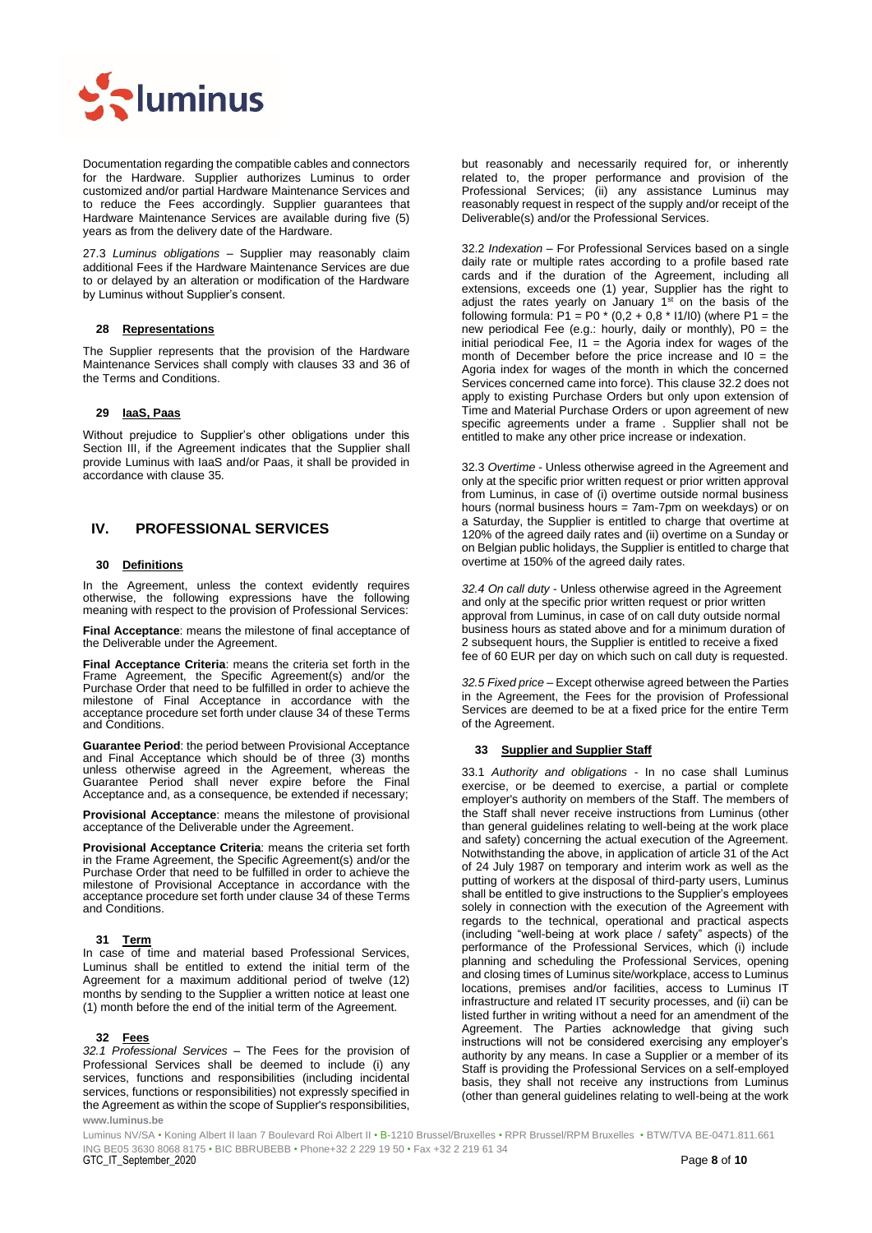

Documentation regarding the compatible cables and connectors for the Hardware. Supplier authorizes Luminus to order customized and/or partial Hardware Maintenance Services and to reduce the Fees accordingly. Supplier guarantees that Hardware Maintenance Services are available during five (5) years as from the delivery date of the Hardware.

27.3 *Luminus obligations –* Supplier may reasonably claim additional Fees if the Hardware Maintenance Services are due to or delayed by an alteration or modification of the Hardware by Luminus without Supplier's consent.

#### **28 Representations**

The Supplier represents that the provision of the Hardware Maintenance Services shall comply with clauses [33](#page-7-1) and 36 of the Terms and Conditions.

#### **29 IaaS, Paas**

Without prejudice to Supplier's other obligations under this Section [III,](#page-6-0) if the Agreement indicates that the Supplier shall provide Luminus with IaaS and/or Paas, it shall be provided in accordance with clause 35.

# <span id="page-7-0"></span>**IV. PROFESSIONAL SERVICES**

# **30 Definitions**

In the Agreement, unless the context evidently requires otherwise, the following expressions have the following meaning with respect to the provision of Professional Services:

**Final Acceptance**: means the milestone of final acceptance of the Deliverable under the Agreement.

**Final Acceptance Criteria**: means the criteria set forth in the Frame Agreement, the Specific Agreement(s) and/or the Purchase Order that need to be fulfilled in order to achieve the milestone of Final Acceptance in accordance with the acceptance procedure set forth under clause [34](#page-8-1) of these Terms and Conditions.

**Guarantee Period**: the period between Provisional Acceptance and Final Acceptance which should be of three (3) months unless otherwise agreed in the Agreement, whereas the Guarantee Period shall never expire before the Final Acceptance and, as a consequence, be extended if necessary;

**Provisional Acceptance**: means the milestone of provisional acceptance of the Deliverable under the Agreement.

**Provisional Acceptance Criteria**: means the criteria set forth in the Frame Agreement, the Specific Agreement(s) and/or the Purchase Order that need to be fulfilled in order to achieve the milestone of Provisional Acceptance in accordance with the acceptance procedure set forth under claus[e 34](#page-8-1) of these Terms and Conditions.

#### **31 Term**

In case of time and material based Professional Services, Luminus shall be entitled to extend the initial term of the Agreement for a maximum additional period of twelve (12) months by sending to the Supplier a written notice at least one (1) month before the end of the initial term of the Agreement.

#### **32 Fees**

**www.luminus.be** *32.1 Professional Services* – The Fees for the provision of Professional Services shall be deemed to include (i) any services, functions and responsibilities (including incidental services, functions or responsibilities) not expressly specified in the Agreement as within the scope of Supplier's responsibilities, but reasonably and necessarily required for, or inherently related to, the proper performance and provision of the Professional Services; (ii) any assistance Luminus may reasonably request in respect of the supply and/or receipt of the Deliverable(s) and/or the Professional Services.

32.2 *Indexation* – For Professional Services based on a single daily rate or multiple rates according to a profile based rate cards and if the duration of the Agreement, including all extensions, exceeds one (1) year, Supplier has the right to adjust the rates yearly on January  $1<sup>st</sup>$  on the basis of the following formula: P1 = P0 \* (0,2 + 0,8 \* I1/I0) (where P1 = the new periodical Fee (e.g.: hourly, daily or monthly), P0 = the initial periodical Fee,  $11$  = the Agoria index for wages of the month of December before the price increase and  $10 =$  the Agoria index for wages of the month in which the concerned Services concerned came into force). This clause 32.2 does not apply to existing Purchase Orders but only upon extension of Time and Material Purchase Orders or upon agreement of new specific agreements under a frame . Supplier shall not be entitled to make any other price increase or indexation.

32.3 *Overtime* - Unless otherwise agreed in the Agreement and only at the specific prior written request or prior written approval from Luminus, in case of (i) overtime outside normal business hours (normal business hours = 7am-7pm on weekdays) or on a Saturday, the Supplier is entitled to charge that overtime at 120% of the agreed daily rates and (ii) overtime on a Sunday or on Belgian public holidays, the Supplier is entitled to charge that overtime at 150% of the agreed daily rates.

*32.4 On call duty* - Unless otherwise agreed in the Agreement and only at the specific prior written request or prior written approval from Luminus, in case of on call duty outside normal business hours as stated above and for a minimum duration of 2 subsequent hours, the Supplier is entitled to receive a fixed fee of 60 EUR per day on which such on call duty is requested.

*32.5 Fixed price* – Except otherwise agreed between the Parties in the Agreement, the Fees for the provision of Professional Services are deemed to be at a fixed price for the entire Term of the Agreement.

# <span id="page-7-1"></span>**33 Supplier and Supplier Staff**

33.1 *Authority and obligations* - In no case shall Luminus exercise, or be deemed to exercise, a partial or complete employer's authority on members of the Staff. The members of the Staff shall never receive instructions from Luminus (other than general guidelines relating to well-being at the work place and safety) concerning the actual execution of the Agreement. Notwithstanding the above, in application of article 31 of the Act of 24 July 1987 on temporary and interim work as well as the putting of workers at the disposal of third-party users, Luminus shall be entitled to give instructions to the Supplier's employees solely in connection with the execution of the Agreement with regards to the technical, operational and practical aspects (including "well-being at work place / safety" aspects) of the performance of the Professional Services, which (i) include planning and scheduling the Professional Services, opening and closing times of Luminus site/workplace, access to Luminus locations, premises and/or facilities, access to Luminus IT infrastructure and related IT security processes, and (ii) can be listed further in writing without a need for an amendment of the Agreement. The Parties acknowledge that giving such instructions will not be considered exercising any employer's authority by any means. In case a Supplier or a member of its Staff is providing the Professional Services on a self-employed basis, they shall not receive any instructions from Luminus (other than general guidelines relating to well-being at the work

 ING BE05 3630 8068 8175 • BIC BBRUBEBB • Phone+32 2 229 19 50 • Fax +32 2 219 61 34 GTC\_IT\_September\_2020 Page **8** of **10** Luminus NV/SA • Koning Albert II laan 7 Boulevard Roi Albert II • B-1210 Brussel/Bruxelles • RPR Brussel/RPM Bruxelles • BTW/TVA BE-0471.811.661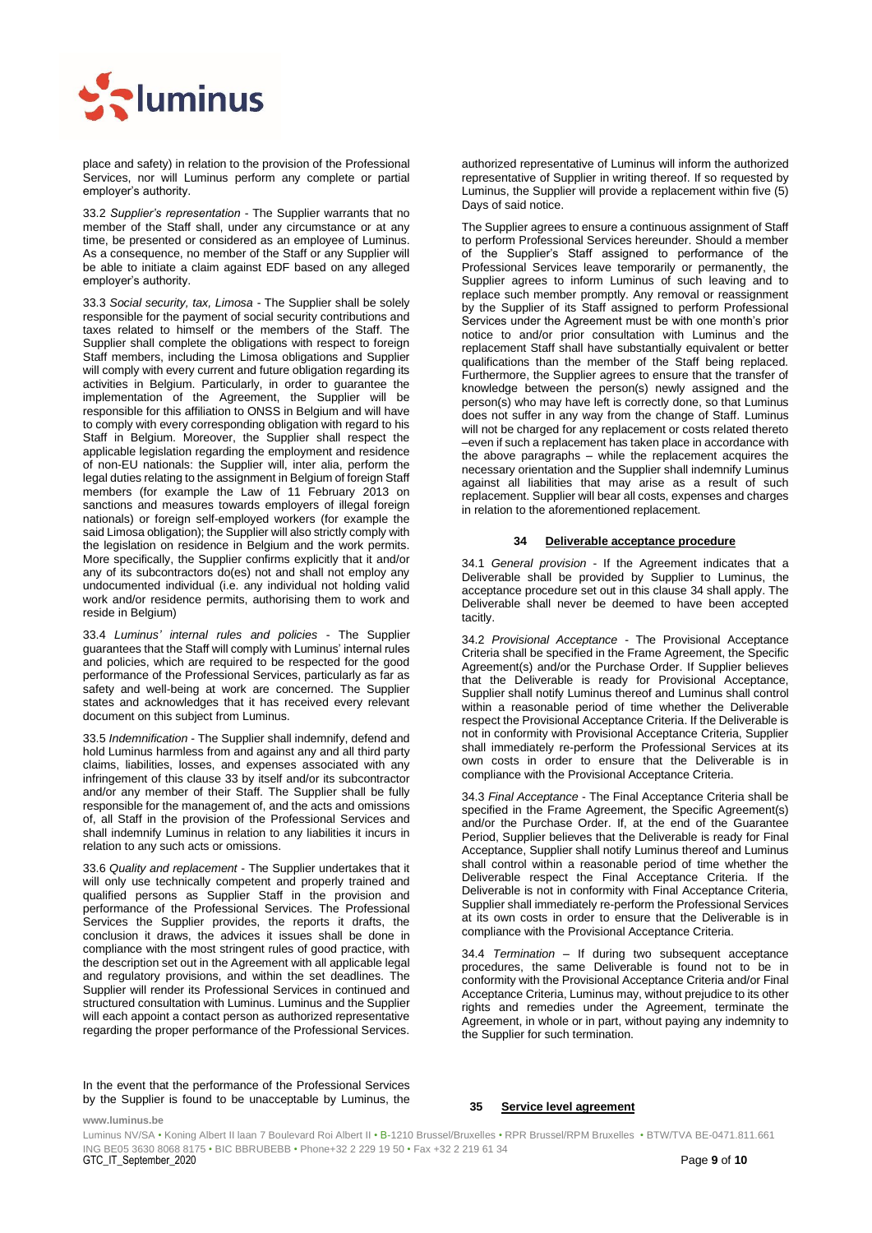

place and safety) in relation to the provision of the Professional Services, nor will Luminus perform any complete or partial employer's authority.

33.2 *Supplier's representation* - The Supplier warrants that no member of the Staff shall, under any circumstance or at any time, be presented or considered as an employee of Luminus. As a consequence, no member of the Staff or any Supplier will be able to initiate a claim against EDF based on any alleged employer's authority.

33.3 *Social security, tax, Limosa* - The Supplier shall be solely responsible for the payment of social security contributions and taxes related to himself or the members of the Staff. The Supplier shall complete the obligations with respect to foreign Staff members, including the Limosa obligations and Supplier will comply with every current and future obligation regarding its activities in Belgium. Particularly, in order to guarantee the implementation of the Agreement, the Supplier will be responsible for this affiliation to ONSS in Belgium and will have to comply with every corresponding obligation with regard to his Staff in Belgium. Moreover, the Supplier shall respect the applicable legislation regarding the employment and residence of non-EU nationals: the Supplier will, inter alia, perform the legal duties relating to the assignment in Belgium of foreign Staff members (for example the Law of 11 February 2013 on sanctions and measures towards employers of illegal foreign nationals) or foreign self-employed workers (for example the said Limosa obligation); the Supplier will also strictly comply with the legislation on residence in Belgium and the work permits. More specifically, the Supplier confirms explicitly that it and/or any of its subcontractors do(es) not and shall not employ any undocumented individual (i.e. any individual not holding valid work and/or residence permits, authorising them to work and reside in Belgium)

33.4 *Luminus' internal rules and policies* - The Supplier guarantees that the Staff will comply with Luminus' internal rules and policies, which are required to be respected for the good performance of the Professional Services, particularly as far as safety and well-being at work are concerned. The Supplier states and acknowledges that it has received every relevant document on this subject from Luminus.

33.5 *Indemnification* - The Supplier shall indemnify, defend and hold Luminus harmless from and against any and all third party claims, liabilities, losses, and expenses associated with any infringement of this clause 33 by itself and/or its subcontractor and/or any member of their Staff. The Supplier shall be fully responsible for the management of, and the acts and omissions of, all Staff in the provision of the Professional Services and shall indemnify Luminus in relation to any liabilities it incurs in relation to any such acts or omissions.

33.6 *Quality and replacement* - The Supplier undertakes that it will only use technically competent and properly trained and qualified persons as Supplier Staff in the provision and performance of the Professional Services. The Professional Services the Supplier provides, the reports it drafts, the conclusion it draws, the advices it issues shall be done in compliance with the most stringent rules of good practice, with the description set out in the Agreement with all applicable legal and regulatory provisions, and within the set deadlines. The Supplier will render its Professional Services in continued and structured consultation with Luminus. Luminus and the Supplier will each appoint a contact person as authorized representative regarding the proper performance of the Professional Services.

authorized representative of Luminus will inform the authorized representative of Supplier in writing thereof. If so requested by Luminus, the Supplier will provide a replacement within five (5) Days of said notice.

The Supplier agrees to ensure a continuous assignment of Staff to perform Professional Services hereunder. Should a member of the Supplier's Staff assigned to performance of the Professional Services leave temporarily or permanently, the Supplier agrees to inform Luminus of such leaving and to replace such member promptly. Any removal or reassignment by the Supplier of its Staff assigned to perform Professional Services under the Agreement must be with one month's prior notice to and/or prior consultation with Luminus and the replacement Staff shall have substantially equivalent or better qualifications than the member of the Staff being replaced. Furthermore, the Supplier agrees to ensure that the transfer of knowledge between the person(s) newly assigned and the person(s) who may have left is correctly done, so that Luminus does not suffer in any way from the change of Staff. Luminus will not be charged for any replacement or costs related thereto –even if such a replacement has taken place in accordance with the above paragraphs – while the replacement acquires the necessary orientation and the Supplier shall indemnify Luminus against all liabilities that may arise as a result of such replacement. Supplier will bear all costs, expenses and charges in relation to the aforementioned replacement.

#### **34 Deliverable acceptance procedure**

<span id="page-8-1"></span>34.1 *General provision* - If the Agreement indicates that a Deliverable shall be provided by Supplier to Luminus, the acceptance procedure set out in this clause [34](#page-8-1) shall apply. The Deliverable shall never be deemed to have been accepted tacitly.

34.2 *Provisional Acceptance* - The Provisional Acceptance Criteria shall be specified in the Frame Agreement, the Specific Agreement(s) and/or the Purchase Order. If Supplier believes that the Deliverable is ready for Provisional Acceptance, Supplier shall notify Luminus thereof and Luminus shall control within a reasonable period of time whether the Deliverable respect the Provisional Acceptance Criteria. If the Deliverable is not in conformity with Provisional Acceptance Criteria, Supplier shall immediately re-perform the Professional Services at its own costs in order to ensure that the Deliverable is in compliance with the Provisional Acceptance Criteria.

34.3 *Final Acceptance* - The Final Acceptance Criteria shall be specified in the Frame Agreement, the Specific Agreement(s) and/or the Purchase Order. If, at the end of the Guarantee Period, Supplier believes that the Deliverable is ready for Final Acceptance, Supplier shall notify Luminus thereof and Luminus shall control within a reasonable period of time whether the Deliverable respect the Final Acceptance Criteria. If the Deliverable is not in conformity with Final Acceptance Criteria, Supplier shall immediately re-perform the Professional Services at its own costs in order to ensure that the Deliverable is in compliance with the Provisional Acceptance Criteria.

34.4 *Termination* – If during two subsequent acceptance procedures, the same Deliverable is found not to be in conformity with the Provisional Acceptance Criteria and/or Final Acceptance Criteria, Luminus may, without prejudice to its other rights and remedies under the Agreement, terminate the Agreement, in whole or in part, without paying any indemnity to the Supplier for such termination.

In the event that the performance of the Professional Services by the Supplier is found to be unacceptable by Luminus, the

#### <span id="page-8-0"></span>**35 Service level agreement**

 ING BE05 3630 8068 8175 • BIC BBRUBEBB • Phone+32 2 229 19 50 • Fax +32 2 219 61 34 GTC\_IT\_September\_2020 Page **9** of **10** Luminus NV/SA • Koning Albert II laan 7 Boulevard Roi Albert II • B-1210 Brussel/Bruxelles • RPR Brussel/RPM Bruxelles • BTW/TVA BE-0471.811.661

**www.luminus.be**